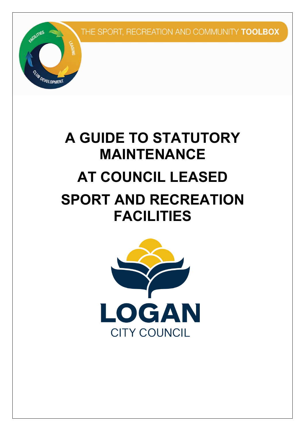

# **A GUIDE TO STATUTORY MAINTENANCE AT COUNCIL LEASED SPORT AND RECREATION**

# **FACILITIES**

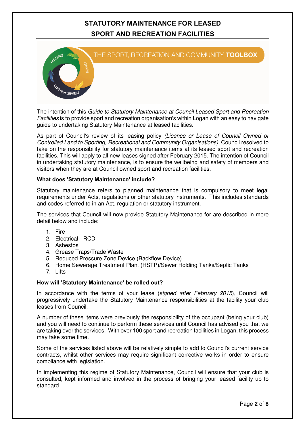

 The intention of this Guide to Statutory Maintenance at Council Leased Sport and Recreation Facilities is to provide sport and recreation organisation's within Logan with an easy to navigate guide to undertaking Statutory Maintenance at leased facilities.

As part of Council's review of its leasing policy (Licence or Lease of Council Owned or Controlled Land to Sporting, Recreational and Community Organisations), Council resolved to take on the responsibility for statutory maintenance items at its leased sport and recreation facilities. This will apply to all new leases signed after February 2015. The intention of Council in undertaking statutory maintenance, is to ensure the wellbeing and safety of members and visitors when they are at Council owned sport and recreation facilities.

#### **What does 'Statutory Maintenance' include?**

 Statutory maintenance refers to planned maintenance that is compulsory to meet legal requirements under Acts, regulations or other statutory instruments. This includes standards and codes referred to in an Act, regulation or statutory instrument.

 The services that Council will now provide Statutory Maintenance for are described in more detail below and include:

- 1. Fire
- 2. Electrical RCD
- 3. Asbestos
- 4. Grease Traps/Trade Waste
- 5. Reduced Pressure Zone Device (Backflow Device)
- 6. Home Sewerage Treatment Plant (HSTP)/Sewer Holding Tanks/Septic Tanks
- 7. Lifts

#### **How will 'Statutory Maintenance' be rolled out?**

In accordance with the terms of your lease (signed after February 2015), Council will progressively undertake the Statutory Maintenance responsibilities at the facility your club leases from Council.

 A number of these items were previously the responsibility of the occupant (being your club) and you will need to continue to perform these services until Council has advised you that we are taking over the services. With over 100 sport and recreation facilities in Logan, this process may take some time.

 Some of the services listed above will be relatively simple to add to Council's current service contracts, whilst other services may require significant corrective works in order to ensure compliance with legislation.

 In implementing this regime of Statutory Maintenance, Council will ensure that your club is consulted, kept informed and involved in the process of bringing your leased facility up to standard.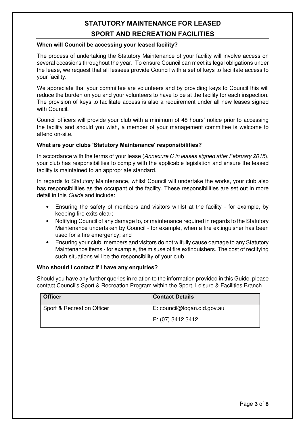#### **When will Council be accessing your leased facility?**

 The process of undertaking the Statutory Maintenance of your facility will involve access on several occasions throughout the year. To ensure Council can meet its legal obligations under the lease, we request that all lessees provide Council with a set of keys to facilitate access to your facility.

 We appreciate that your committee are volunteers and by providing keys to Council this will reduce the burden on you and your volunteers to have to be at the facility for each inspection. The provision of keys to facilitate access is also a requirement under all new leases signed with Council.

 Council officers will provide your club with a minimum of 48 hours' notice prior to accessing the facility and should you wish, a member of your management committee is welcome to attend on-site.

#### **What are your clubs 'Statutory Maintenance' responsibilities?**

In accordance with the terms of your lease (Annexure C in leases signed after February 2015), your club has responsibilities to comply with the applicable legislation and ensure the leased facility is maintained to an appropriate standard.

 In regards to Statutory Maintenance, whilst Council will undertake the works, your club also has responsibilities as the occupant of the facility. These responsibilities are set out in more detail in this *Guide* and include:

- keeping fire exits clear; • Ensuring the safety of members and visitors whilst at the facility - for example, by
- $\bullet$  Maintenance undertaken by Council - for example, when a fire extinguisher has been used for a fire emergency; and • Notifying Council of any damage to, or maintenance required in regards to the Statutory
- $\bullet$  Maintenance items - for example, the misuse of fire extinguishers. The cost of rectifying such situations will be the responsibility of your club. • Ensuring your club, members and visitors do not wilfully cause damage to any Statutory

#### **Who should I contact if I have any enquiries?**

 Should you have any further queries in relation to the information provided in this Guide, please contact Council's Sport & Recreation Program within the Sport, Leisure & Facilities Branch.

| <b>Officer</b>             | <b>Contact Details</b>      |
|----------------------------|-----------------------------|
| Sport & Recreation Officer | E: council@logan.qld.gov.au |
|                            | P: (07) 3412 3412           |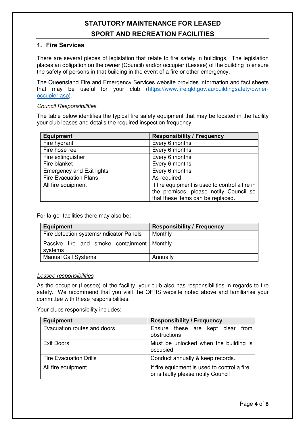#### **1. Fire Services**

 There are several pieces of legislation that relate to fire safety in buildings. The legislation places an obligation on the owner (Council) and/or occupier (Lessee) of the building to ensure the safety of persons in that building in the event of a fire or other emergency.

 The Queensland Fire and Emergency Services website provides information and fact sheets [that may be useful for your club \(https://www.fire.qld.gov.au/buildingsafety/owner](https://www.fire.qld.gov.au/buildingsafety/owneroccupier.asp)occupier.asp).

#### Council Responsibilities

 The table below identifies the typical fire safety equipment that may be located in the facility your club leases and details the required inspection frequency.

| <b>Equipment</b>                 | <b>Responsibility / Frequency</b>              |
|----------------------------------|------------------------------------------------|
| Fire hydrant                     | Every 6 months                                 |
| Fire hose reel                   | Every 6 months                                 |
| Fire extinguisher                | Every 6 months                                 |
| Fire blanket                     | Every 6 months                                 |
| <b>Emergency and Exit lights</b> | Every 6 months                                 |
| <b>Fire Evacuation Plans</b>     | As required                                    |
| All fire equipment               | If fire equipment is used to control a fire in |
|                                  | the premises, please notify Council so         |
|                                  | that these items can be replaced.              |

For larger facilities there may also be:

| Equipment                                               | <b>Responsibility / Frequency</b> |
|---------------------------------------------------------|-----------------------------------|
| Fire detection systems/Indicator Panels                 | Monthly                           |
| Passive fire and smoke containment   Monthly<br>systems |                                   |
| <b>Manual Call Systems</b>                              | Annually                          |

#### Lessee responsibilities

 As the occupier (Lessee) of the facility, your club also has responsibilities in regards to fire safety. We recommend that you visit the QFRS website noted above and familiarise your committee with these responsibilities.

Your clubs responsibility includes:

| <b>Equipment</b>              | <b>Responsibility / Frequency</b>                                                 |
|-------------------------------|-----------------------------------------------------------------------------------|
| Evacuation routes and doors   | Ensure these are kept clear<br>from<br>obstructions                               |
| <b>Exit Doors</b>             | Must be unlocked when the building is<br>occupied                                 |
| <b>Fire Evacuation Drills</b> | Conduct annually & keep records.                                                  |
| All fire equipment            | If fire equipment is used to control a fire<br>or is faulty please notify Council |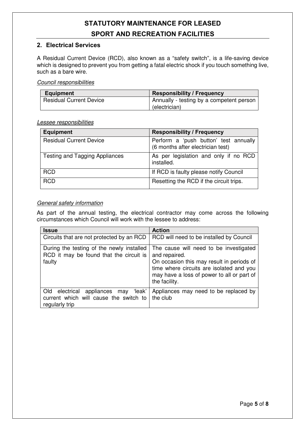#### **2. Electrical Services**

 A Residual Current Device (RCD), also known as a "safety switch", is a life-saving device which is designed to prevent you from getting a fatal electric shock if you touch something live, such as a bare wire.

#### Council responsibilities

| Equipment                      | <b>Responsibility / Frequency</b>        |
|--------------------------------|------------------------------------------|
| <b>Residual Current Device</b> | Annually - testing by a competent person |
|                                | (electrician)                            |

#### Lessee responsibilities

| <b>Equipment</b>                      | <b>Responsibility / Frequency</b>                                          |
|---------------------------------------|----------------------------------------------------------------------------|
| <b>Residual Current Device</b>        | Perform a 'push button' test annually<br>(6 months after electrician test) |
| <b>Testing and Tagging Appliances</b> | As per legislation and only if no RCD<br>installed.                        |
| <b>RCD</b>                            | If RCD is faulty please notify Council                                     |
| <b>RCD</b>                            | Resetting the RCD if the circuit trips.                                    |

#### General safety information

 As part of the annual testing, the electrical contractor may come across the following circumstances which Council will work with the lessee to address:

| <b>Issue</b>                                                                                   | <b>Action</b>                                                                                                                                                                                                   |
|------------------------------------------------------------------------------------------------|-----------------------------------------------------------------------------------------------------------------------------------------------------------------------------------------------------------------|
| Circuits that are not protected by an RCD                                                      | RCD will need to be installed by Council                                                                                                                                                                        |
| During the testing of the newly installed<br>RCD it may be found that the circuit is<br>faulty | The cause will need to be investigated<br>and repaired.<br>On occasion this may result in periods of<br>time where circuits are isolated and you<br>may have a loss of power to all or part of<br>the facility. |
| current which will cause the switch to the club<br>regularly trip                              | Old electrical appliances may 'leak' Appliances may need to be replaced by                                                                                                                                      |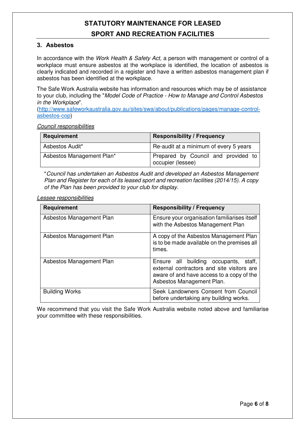#### **3. Asbestos**

In accordance with the Work Health & Safety Act, a person with management or control of a workplace must ensure asbestos at the workplace is identified, the location of asbestos is clearly indicated and recorded in a register and have a written asbestos management plan if asbestos has been identified at the workplace.

 The Safe Work Australia website has information and resources which may be of assistance to your club, including the "Model Code of Practice - How to Manage and Control Asbestos in the Workplace".

 asbestos-cop) [\(http://www.safeworkaustralia.gov.au/sites/swa/about/publications/pages/manage-control-](http://www.safeworkaustralia.gov.au/sites/swa/about/publications/pages/manage-controlasbestos-cop)

Council responsibilities

| Requirement               | <b>Responsibility / Frequency</b>                        |
|---------------------------|----------------------------------------------------------|
| Asbestos Audit*           | Re-audit at a minimum of every 5 years                   |
| Asbestos Management Plan* | Prepared by Council and provided to<br>occupier (lessee) |

 \*Council has undertaken an Asbestos Audit and developed an Asbestos Management Plan and Register for each of its leased sport and recreation facilities (2014/15). A copy of the Plan has been provided to your club for display.

Lessee responsibilities

| <b>Requirement</b>       | <b>Responsibility / Frequency</b>                                                                                                                                |
|--------------------------|------------------------------------------------------------------------------------------------------------------------------------------------------------------|
| Asbestos Management Plan | Ensure your organisation familiarises itself<br>with the Asbestos Management Plan                                                                                |
| Asbestos Management Plan | A copy of the Asbestos Management Plan<br>is to be made available on the premises all<br>times.                                                                  |
| Asbestos Management Plan | Ensure all building occupants,<br>staff.<br>external contractors and site visitors are<br>aware of and have access to a copy of the<br>Asbestos Management Plan. |
| <b>Building Works</b>    | Seek Landowners Consent from Council<br>before undertaking any building works.                                                                                   |

 We recommend that you visit the Safe Work Australia website noted above and familiarise your committee with these responsibilities.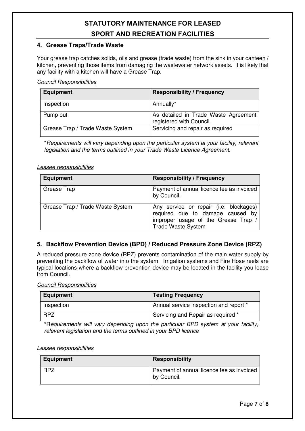#### **4. Grease Traps/Trade Waste**

 Your grease trap catches solids, oils and grease (trade waste) from the sink in your canteen / kitchen, preventing those items from damaging the wastewater network assets. It is likely that any facility with a kitchen will have a Grease Trap.

Council Responsibilities

| <b>Equipment</b>                 | <b>Responsibility / Frequency</b>                                |
|----------------------------------|------------------------------------------------------------------|
| Inspection                       | Annually*                                                        |
| Pump out                         | As detailed in Trade Waste Agreement<br>registered with Council. |
| Grease Trap / Trade Waste System | Servicing and repair as required                                 |

 \*Requirements will vary depending upon the particular system at your facility, relevant legislation and the terms outlined in your Trade Waste Licence Agreement.

#### Lessee responsibilities

| <b>Equipment</b>                 | <b>Responsibility / Frequency</b>                                                                                                              |
|----------------------------------|------------------------------------------------------------------------------------------------------------------------------------------------|
| Grease Trap                      | Payment of annual licence fee as invoiced<br>by Council.                                                                                       |
| Grease Trap / Trade Waste System | Any service or repair (i.e. blockages)<br>required due to damage caused by<br>improper usage of the Grease Trap /<br><b>Trade Waste System</b> |

#### **5. Backflow Prevention Device (BPD) / Reduced Pressure Zone Device (RPZ)**

 A reduced pressure zone device (RPZ) prevents contamination of the main water supply by preventing the backflow of water into the system. Irrigation systems and Fire Hose reels are typical locations where a backflow prevention device may be located in the facility you lease from Council.

Council Responsibilities

| <b>Equipment</b> | <b>Testing Frequency</b>               |
|------------------|----------------------------------------|
| Inspection       | Annual service inspection and report * |
| <b>RPZ</b>       | Servicing and Repair as required *     |

 \*Requirements will vary depending upon the particular BPD system at your facility, relevant legislation and the terms outlined in your BPD licence

#### Lessee responsibilities

| <b>Equipment</b> | <b>Responsibility</b>                                    |
|------------------|----------------------------------------------------------|
| <b>RPZ</b>       | Payment of annual licence fee as invoiced<br>by Council. |